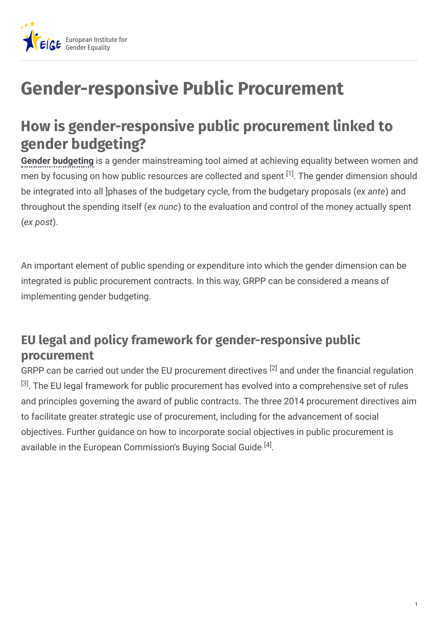

## **Gender-responsive Public Procurement**

## **How is gender-responsive public procurement linked to gender budgeting?**

**Gender budgeting** is a gender mainstreaming tool aimed at achieving equality between women and men by focusing on how public resources are collected and spent  $^{[1]}$ . The gender dimension should be integrated into all ]phases of the budgetary cycle, from the budgetary proposals (*ex ante*) and throughout the spending itself (*ex nunc*) to the evaluation and control of the money actually spent (*ex post*).

An important element of public spending or expenditure into which the gender dimension can be integrated is public procurement contracts. In this way, GRPP can be considered a means of implementing gender budgeting.

## **EU legal and policy framework for gender-responsive public procurement**

GRPP can be carried out under the EU procurement directives  $^{[2]}$  and under the financial regulation  $^{[3]}$ . The EU legal framework for public procurement has evolved into a comprehensive set of rules and principles governing the award of public contracts. The three 2014 procurement directives aim to facilitate greater strategic use of procurement, including for the advancement of social objectives. Further guidance on how to incorporate social objectives in public procurement is available in the European Commission's Buying Social Guide <sup>[4]</sup>.